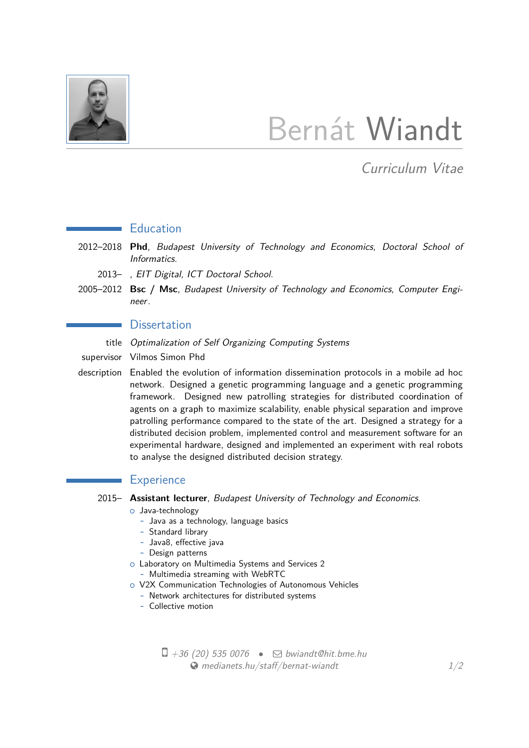

# Bernát Wiandt

Curriculum Vitae

### **Education**

- 2012–2018 **Phd**, Budapest University of Technology and Economics, Doctoral School of Informatics.
	- 2013– , EIT Digital, ICT Doctoral School.
- 2005–2012 **Bsc / Msc**, Budapest University of Technology and Economics, Computer Engineer.

#### **Dissertation**

- title Optimalization of Self Organizing Computing Systems
- supervisor Vilmos Simon Phd

 $\sim$ 

description Enabled the evolution of information dissemination protocols in a mobile ad hoc network. Designed a genetic programming language and a genetic programming framework. Designed new patrolling strategies for distributed coordination of agents on a graph to maximize scalability, enable physical separation and improve patrolling performance compared to the state of the art. Designed a strategy for a distributed decision problem, implemented control and measurement software for an experimental hardware, designed and implemented an experiment with real robots to analyse the designed distributed decision strategy.

#### **Experience**

- 2015– **Assistant lecturer**, Budapest University of Technology and Economics.
	- o Java-technology
		- **-** Java as a technology, language basics
		- **-** Standard library
		- **-** Java8, effective java
		- **-** Design patterns
	- o Laboratory on Multimedia Systems and Services 2
		- **-** Multimedia streaming with WebRTC
	- o V2X Communication Technologies of Autonomous Vehicles
		- **-** Network architectures for distributed systems
		- **-** Collective motion

 $\Box$  +36 (20) 535 0076 •  $\Box$  [bwiandt@hit.bme.hu](mailto:bwiandt@hit.bme.hu)  $\bullet$  [medianets.hu/staff/bernat-wiandt](http://medianets.hu/staff/bernat-wiandt)  $1/2$  $1/2$